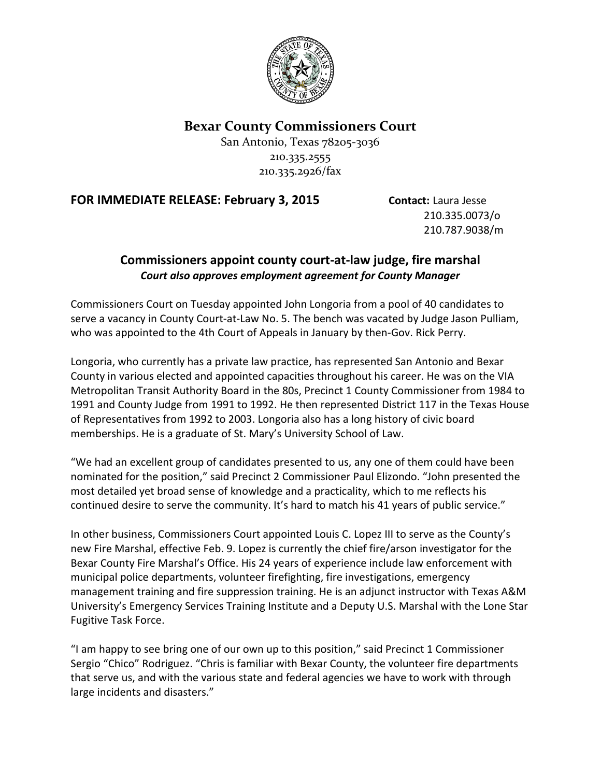

**Bexar County Commissioners Court**

San Antonio, Texas 78205-3036 210.335.2555 210.335.2926/fax

**FOR IMMEDIATE RELEASE: February 3, 2015 Contact: Laura Jesse** 

210.335.0073/o 210.787.9038/m

## **Commissioners appoint county court-at-law judge, fire marshal** *Court also approves employment agreement for County Manager*

Commissioners Court on Tuesday appointed John Longoria from a pool of 40 candidates to serve a vacancy in County Court-at-Law No. 5. The bench was vacated by Judge Jason Pulliam, who was appointed to the 4th Court of Appeals in January by then-Gov. Rick Perry.

Longoria, who currently has a private law practice, has represented San Antonio and Bexar County in various elected and appointed capacities throughout his career. He was on the VIA Metropolitan Transit Authority Board in the 80s, Precinct 1 County Commissioner from 1984 to 1991 and County Judge from 1991 to 1992. He then represented District 117 in the Texas House of Representatives from 1992 to 2003. Longoria also has a long history of civic board memberships. He is a graduate of St. Mary's University School of Law.

"We had an excellent group of candidates presented to us, any one of them could have been nominated for the position," said Precinct 2 Commissioner Paul Elizondo. "John presented the most detailed yet broad sense of knowledge and a practicality, which to me reflects his continued desire to serve the community. It's hard to match his 41 years of public service."

In other business, Commissioners Court appointed Louis C. Lopez III to serve as the County's new Fire Marshal, effective Feb. 9. Lopez is currently the chief fire/arson investigator for the Bexar County Fire Marshal's Office. His 24 years of experience include law enforcement with municipal police departments, volunteer firefighting, fire investigations, emergency management training and fire suppression training. He is an adjunct instructor with Texas A&M University's Emergency Services Training Institute and a Deputy U.S. Marshal with the Lone Star Fugitive Task Force.

"I am happy to see bring one of our own up to this position," said Precinct 1 Commissioner Sergio "Chico" Rodriguez. "Chris is familiar with Bexar County, the volunteer fire departments that serve us, and with the various state and federal agencies we have to work with through large incidents and disasters."